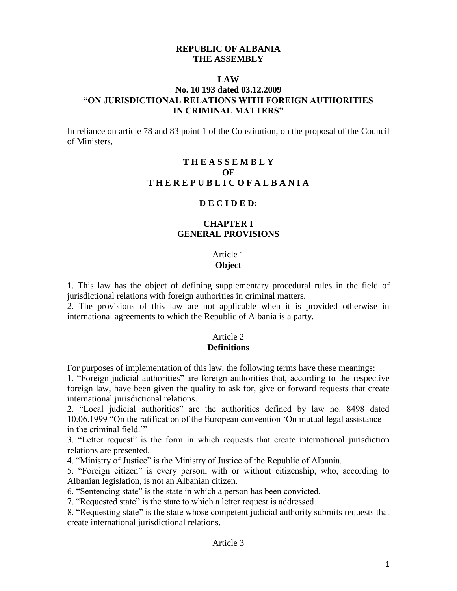### **REPUBLIC OF ALBANIA THE ASSEMBLY**

#### **LAW**

## **No. 10 193 dated 03.12.2009 "ON JURISDICTIONAL RELATIONS WITH FOREIGN AUTHORITIES IN CRIMINAL MATTERS"**

In reliance on article 78 and 83 point 1 of the Constitution, on the proposal of the Council of Ministers,

## **T H E A S S E M B L Y OF T H E R E P U B L I C O F A L B A N I A**

#### **D E C I D E D:**

## **CHAPTER I GENERAL PROVISIONS**

# Article 1

# **Object**

1. This law has the object of defining supplementary procedural rules in the field of jurisdictional relations with foreign authorities in criminal matters.

2. The provisions of this law are not applicable when it is provided otherwise in international agreements to which the Republic of Albania is a party.

### Article 2

#### **Definitions**

For purposes of implementation of this law, the following terms have these meanings:

1. "Foreign judicial authorities" are foreign authorities that, according to the respective foreign law, have been given the quality to ask for, give or forward requests that create international jurisdictional relations.

2. "Local judicial authorities" are the authorities defined by law no. 8498 dated 10.06.1999 "On the ratification of the European convention 'On mutual legal assistance in the criminal field.'"

3. "Letter request" is the form in which requests that create international jurisdiction relations are presented.

4. "Ministry of Justice" is the Ministry of Justice of the Republic of Albania.

5. "Foreign citizen" is every person, with or without citizenship, who, according to Albanian legislation, is not an Albanian citizen.

6. "Sentencing state" is the state in which a person has been convicted.

7. "Requested state" is the state to which a letter request is addressed.

8. "Requesting state" is the state whose competent judicial authority submits requests that create international jurisdictional relations.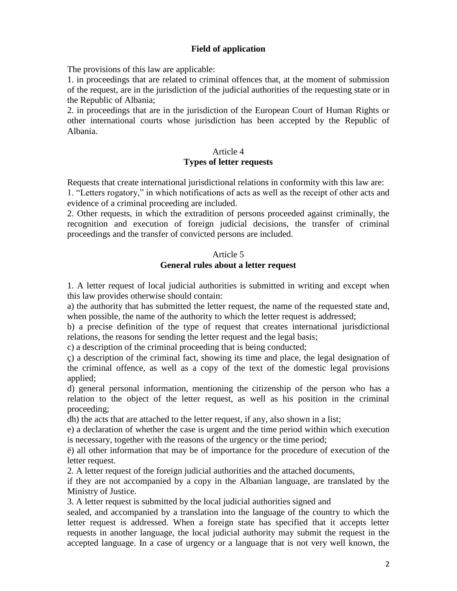## **Field of application**

The provisions of this law are applicable:

1. in proceedings that are related to criminal offences that, at the moment of submission of the request, are in the jurisdiction of the judicial authorities of the requesting state or in the Republic of Albania;

2. in proceedings that are in the jurisdiction of the European Court of Human Rights or other international courts whose jurisdiction has been accepted by the Republic of Albania.

#### Article 4

### **Types of letter requests**

Requests that create international jurisdictional relations in conformity with this law are:

1. "Letters rogatory," in which notifications of acts as well as the receipt of other acts and evidence of a criminal proceeding are included.

2. Other requests, in which the extradition of persons proceeded against criminally, the recognition and execution of foreign judicial decisions, the transfer of criminal proceedings and the transfer of convicted persons are included.

#### Article 5

## **General rules about a letter request**

1. A letter request of local judicial authorities is submitted in writing and except when this law provides otherwise should contain:

a) the authority that has submitted the letter request, the name of the requested state and, when possible, the name of the authority to which the letter request is addressed;

b) a precise definition of the type of request that creates international jurisdictional relations, the reasons for sending the letter request and the legal basis;

c) a description of the criminal proceeding that is being conducted;

ç) a description of the criminal fact, showing its time and place, the legal designation of the criminal offence, as well as a copy of the text of the domestic legal provisions applied;

d) general personal information, mentioning the citizenship of the person who has a relation to the object of the letter request, as well as his position in the criminal proceeding;

dh) the acts that are attached to the letter request, if any, also shown in a list;

e) a declaration of whether the case is urgent and the time period within which execution is necessary, together with the reasons of the urgency or the time period;

ë) all other information that may be of importance for the procedure of execution of the letter request.

2. A letter request of the foreign judicial authorities and the attached documents,

if they are not accompanied by a copy in the Albanian language, are translated by the Ministry of Justice.

3. A letter request is submitted by the local judicial authorities signed and

sealed, and accompanied by a translation into the language of the country to which the letter request is addressed. When a foreign state has specified that it accepts letter requests in another language, the local judicial authority may submit the request in the accepted language. In a case of urgency or a language that is not very well known, the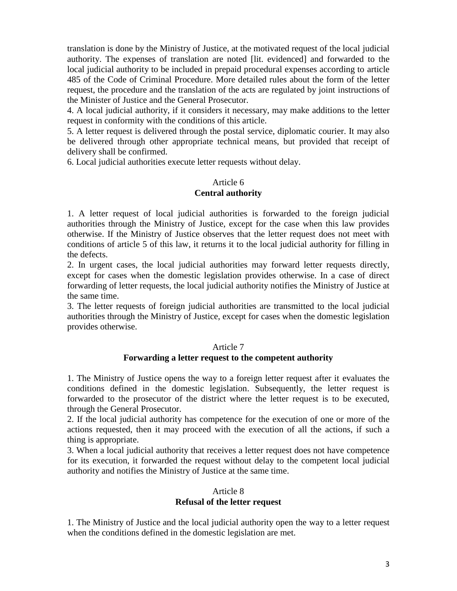translation is done by the Ministry of Justice, at the motivated request of the local judicial authority. The expenses of translation are noted [lit. evidenced] and forwarded to the local judicial authority to be included in prepaid procedural expenses according to article 485 of the Code of Criminal Procedure. More detailed rules about the form of the letter request, the procedure and the translation of the acts are regulated by joint instructions of the Minister of Justice and the General Prosecutor.

4. A local judicial authority, if it considers it necessary, may make additions to the letter request in conformity with the conditions of this article.

5. A letter request is delivered through the postal service, diplomatic courier. It may also be delivered through other appropriate technical means, but provided that receipt of delivery shall be confirmed.

6. Local judicial authorities execute letter requests without delay.

# Article 6 **Central authority**

1. A letter request of local judicial authorities is forwarded to the foreign judicial authorities through the Ministry of Justice, except for the case when this law provides otherwise. If the Ministry of Justice observes that the letter request does not meet with conditions of article 5 of this law, it returns it to the local judicial authority for filling in the defects.

2. In urgent cases, the local judicial authorities may forward letter requests directly, except for cases when the domestic legislation provides otherwise. In a case of direct forwarding of letter requests, the local judicial authority notifies the Ministry of Justice at the same time.

3. The letter requests of foreign judicial authorities are transmitted to the local judicial authorities through the Ministry of Justice, except for cases when the domestic legislation provides otherwise.

### Article 7

### **Forwarding a letter request to the competent authority**

1. The Ministry of Justice opens the way to a foreign letter request after it evaluates the conditions defined in the domestic legislation. Subsequently, the letter request is forwarded to the prosecutor of the district where the letter request is to be executed, through the General Prosecutor.

2. If the local judicial authority has competence for the execution of one or more of the actions requested, then it may proceed with the execution of all the actions, if such a thing is appropriate.

3. When a local judicial authority that receives a letter request does not have competence for its execution, it forwarded the request without delay to the competent local judicial authority and notifies the Ministry of Justice at the same time.

# Article 8 **Refusal of the letter request**

1. The Ministry of Justice and the local judicial authority open the way to a letter request when the conditions defined in the domestic legislation are met.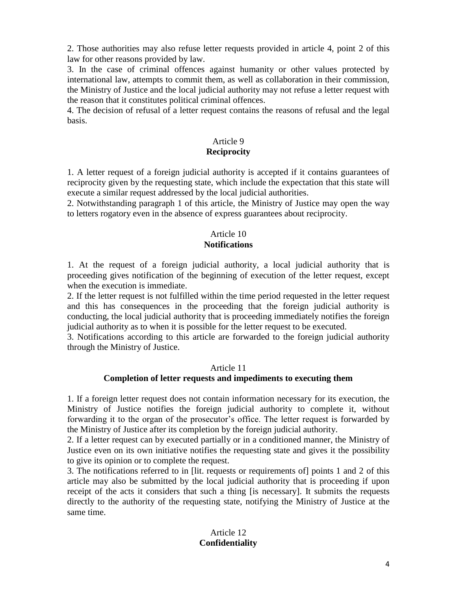2. Those authorities may also refuse letter requests provided in article 4, point 2 of this law for other reasons provided by law.

3. In the case of criminal offences against humanity or other values protected by international law, attempts to commit them, as well as collaboration in their commission, the Ministry of Justice and the local judicial authority may not refuse a letter request with the reason that it constitutes political criminal offences.

4. The decision of refusal of a letter request contains the reasons of refusal and the legal basis.

# Article 9

# **Reciprocity**

1. A letter request of a foreign judicial authority is accepted if it contains guarantees of reciprocity given by the requesting state, which include the expectation that this state will execute a similar request addressed by the local judicial authorities.

2. Notwithstanding paragraph 1 of this article, the Ministry of Justice may open the way to letters rogatory even in the absence of express guarantees about reciprocity.

# Article 10

# **Notifications**

1. At the request of a foreign judicial authority, a local judicial authority that is proceeding gives notification of the beginning of execution of the letter request, except when the execution is immediate.

2. If the letter request is not fulfilled within the time period requested in the letter request and this has consequences in the proceeding that the foreign judicial authority is conducting, the local judicial authority that is proceeding immediately notifies the foreign judicial authority as to when it is possible for the letter request to be executed.

3. Notifications according to this article are forwarded to the foreign judicial authority through the Ministry of Justice.

## Article 11 **Completion of letter requests and impediments to executing them**

1. If a foreign letter request does not contain information necessary for its execution, the Ministry of Justice notifies the foreign judicial authority to complete it, without forwarding it to the organ of the prosecutor's office. The letter request is forwarded by the Ministry of Justice after its completion by the foreign judicial authority.

2. If a letter request can by executed partially or in a conditioned manner, the Ministry of Justice even on its own initiative notifies the requesting state and gives it the possibility to give its opinion or to complete the request.

3. The notifications referred to in [lit. requests or requirements of] points 1 and 2 of this article may also be submitted by the local judicial authority that is proceeding if upon receipt of the acts it considers that such a thing [is necessary]. It submits the requests directly to the authority of the requesting state, notifying the Ministry of Justice at the same time.

# Article 12 **Confidentiality**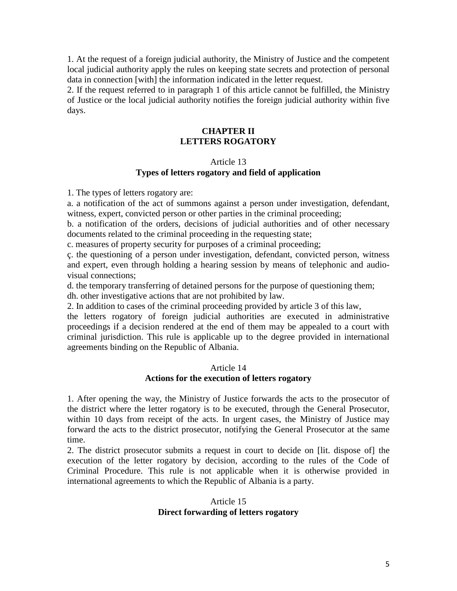1. At the request of a foreign judicial authority, the Ministry of Justice and the competent local judicial authority apply the rules on keeping state secrets and protection of personal data in connection [with] the information indicated in the letter request.

2. If the request referred to in paragraph 1 of this article cannot be fulfilled, the Ministry of Justice or the local judicial authority notifies the foreign judicial authority within five days.

# **CHAPTER II LETTERS ROGATORY**

### Article 13

# **Types of letters rogatory and field of application**

1. The types of letters rogatory are:

a. a notification of the act of summons against a person under investigation, defendant, witness, expert, convicted person or other parties in the criminal proceeding;

b. a notification of the orders, decisions of judicial authorities and of other necessary documents related to the criminal proceeding in the requesting state;

c. measures of property security for purposes of a criminal proceeding;

ç. the questioning of a person under investigation, defendant, convicted person, witness and expert, even through holding a hearing session by means of telephonic and audiovisual connections;

d. the temporary transferring of detained persons for the purpose of questioning them; dh. other investigative actions that are not prohibited by law.

2. In addition to cases of the criminal proceeding provided by article 3 of this law,

the letters rogatory of foreign judicial authorities are executed in administrative proceedings if a decision rendered at the end of them may be appealed to a court with criminal jurisdiction. This rule is applicable up to the degree provided in international agreements binding on the Republic of Albania.

#### Article 14 **Actions for the execution of letters rogatory**

1. After opening the way, the Ministry of Justice forwards the acts to the prosecutor of the district where the letter rogatory is to be executed, through the General Prosecutor, within 10 days from receipt of the acts. In urgent cases, the Ministry of Justice may forward the acts to the district prosecutor, notifying the General Prosecutor at the same time.

2. The district prosecutor submits a request in court to decide on [lit. dispose of] the execution of the letter rogatory by decision, according to the rules of the Code of Criminal Procedure. This rule is not applicable when it is otherwise provided in international agreements to which the Republic of Albania is a party.

### Article 15 **Direct forwarding of letters rogatory**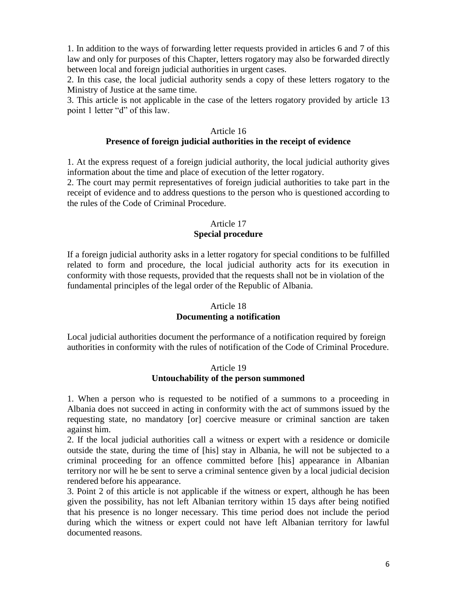1. In addition to the ways of forwarding letter requests provided in articles 6 and 7 of this law and only for purposes of this Chapter, letters rogatory may also be forwarded directly between local and foreign judicial authorities in urgent cases.

2. In this case, the local judicial authority sends a copy of these letters rogatory to the Ministry of Justice at the same time.

3. This article is not applicable in the case of the letters rogatory provided by article 13 point 1 letter "d" of this law.

#### Article 16

## **Presence of foreign judicial authorities in the receipt of evidence**

1. At the express request of a foreign judicial authority, the local judicial authority gives information about the time and place of execution of the letter rogatory.

2. The court may permit representatives of foreign judicial authorities to take part in the receipt of evidence and to address questions to the person who is questioned according to the rules of the Code of Criminal Procedure.

## Article 17 **Special procedure**

If a foreign judicial authority asks in a letter rogatory for special conditions to be fulfilled related to form and procedure, the local judicial authority acts for its execution in conformity with those requests, provided that the requests shall not be in violation of the fundamental principles of the legal order of the Republic of Albania.

# Article 18

### **Documenting a notification**

Local judicial authorities document the performance of a notification required by foreign authorities in conformity with the rules of notification of the Code of Criminal Procedure.

#### Article 19 **Untouchability of the person summoned**

1. When a person who is requested to be notified of a summons to a proceeding in Albania does not succeed in acting in conformity with the act of summons issued by the requesting state, no mandatory [or] coercive measure or criminal sanction are taken against him.

2. If the local judicial authorities call a witness or expert with a residence or domicile outside the state, during the time of [his] stay in Albania, he will not be subjected to a criminal proceeding for an offence committed before [his] appearance in Albanian territory nor will he be sent to serve a criminal sentence given by a local judicial decision rendered before his appearance.

3. Point 2 of this article is not applicable if the witness or expert, although he has been given the possibility, has not left Albanian territory within 15 days after being notified that his presence is no longer necessary. This time period does not include the period during which the witness or expert could not have left Albanian territory for lawful documented reasons.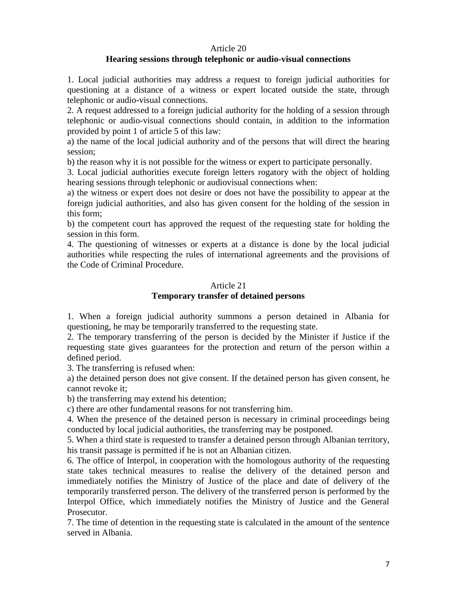#### Article 20

## **Hearing sessions through telephonic or audio-visual connections**

1. Local judicial authorities may address a request to foreign judicial authorities for questioning at a distance of a witness or expert located outside the state, through telephonic or audio-visual connections.

2. A request addressed to a foreign judicial authority for the holding of a session through telephonic or audio-visual connections should contain, in addition to the information provided by point 1 of article 5 of this law:

a) the name of the local judicial authority and of the persons that will direct the hearing session;

b) the reason why it is not possible for the witness or expert to participate personally.

3. Local judicial authorities execute foreign letters rogatory with the object of holding hearing sessions through telephonic or audiovisual connections when:

a) the witness or expert does not desire or does not have the possibility to appear at the foreign judicial authorities, and also has given consent for the holding of the session in this form;

b) the competent court has approved the request of the requesting state for holding the session in this form.

4. The questioning of witnesses or experts at a distance is done by the local judicial authorities while respecting the rules of international agreements and the provisions of the Code of Criminal Procedure.

### Article 21

# **Temporary transfer of detained persons**

1. When a foreign judicial authority summons a person detained in Albania for questioning, he may be temporarily transferred to the requesting state.

2. The temporary transferring of the person is decided by the Minister if Justice if the requesting state gives guarantees for the protection and return of the person within a defined period.

3. The transferring is refused when:

a) the detained person does not give consent. If the detained person has given consent, he cannot revoke it;

b) the transferring may extend his detention;

c) there are other fundamental reasons for not transferring him.

4. When the presence of the detained person is necessary in criminal proceedings being conducted by local judicial authorities, the transferring may be postponed.

5. When a third state is requested to transfer a detained person through Albanian territory, his transit passage is permitted if he is not an Albanian citizen.

6. The office of Interpol, in cooperation with the homologous authority of the requesting state takes technical measures to realise the delivery of the detained person and immediately notifies the Ministry of Justice of the place and date of delivery of the temporarily transferred person. The delivery of the transferred person is performed by the Interpol Office, which immediately notifies the Ministry of Justice and the General Prosecutor.

7. The time of detention in the requesting state is calculated in the amount of the sentence served in Albania.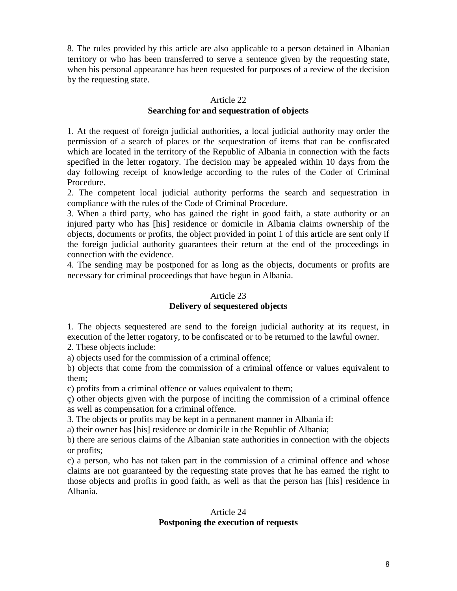8. The rules provided by this article are also applicable to a person detained in Albanian territory or who has been transferred to serve a sentence given by the requesting state, when his personal appearance has been requested for purposes of a review of the decision by the requesting state.

## Article 22

# **Searching for and sequestration of objects**

1. At the request of foreign judicial authorities, a local judicial authority may order the permission of a search of places or the sequestration of items that can be confiscated which are located in the territory of the Republic of Albania in connection with the facts specified in the letter rogatory. The decision may be appealed within 10 days from the day following receipt of knowledge according to the rules of the Coder of Criminal Procedure.

2. The competent local judicial authority performs the search and sequestration in compliance with the rules of the Code of Criminal Procedure.

3. When a third party, who has gained the right in good faith, a state authority or an injured party who has [his] residence or domicile in Albania claims ownership of the objects, documents or profits, the object provided in point 1 of this article are sent only if the foreign judicial authority guarantees their return at the end of the proceedings in connection with the evidence.

4. The sending may be postponed for as long as the objects, documents or profits are necessary for criminal proceedings that have begun in Albania.

### Article 23

### **Delivery of sequestered objects**

1. The objects sequestered are send to the foreign judicial authority at its request, in execution of the letter rogatory, to be confiscated or to be returned to the lawful owner.

2. These objects include:

a) objects used for the commission of a criminal offence;

b) objects that come from the commission of a criminal offence or values equivalent to them;

c) profits from a criminal offence or values equivalent to them;

ç) other objects given with the purpose of inciting the commission of a criminal offence as well as compensation for a criminal offence.

3. The objects or profits may be kept in a permanent manner in Albania if:

a) their owner has [his] residence or domicile in the Republic of Albania;

b) there are serious claims of the Albanian state authorities in connection with the objects or profits;

c) a person, who has not taken part in the commission of a criminal offence and whose claims are not guaranteed by the requesting state proves that he has earned the right to those objects and profits in good faith, as well as that the person has [his] residence in Albania.

# Article 24

# **Postponing the execution of requests**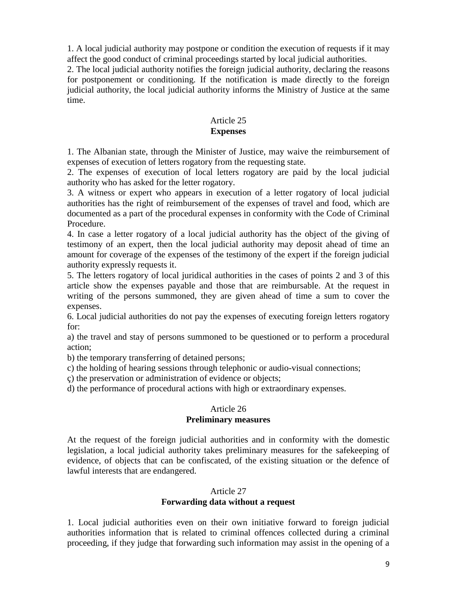1. A local judicial authority may postpone or condition the execution of requests if it may affect the good conduct of criminal proceedings started by local judicial authorities.

2. The local judicial authority notifies the foreign judicial authority, declaring the reasons for postponement or conditioning. If the notification is made directly to the foreign judicial authority, the local judicial authority informs the Ministry of Justice at the same time.

#### Article 25 **Expenses**

1. The Albanian state, through the Minister of Justice, may waive the reimbursement of expenses of execution of letters rogatory from the requesting state.

2. The expenses of execution of local letters rogatory are paid by the local judicial authority who has asked for the letter rogatory.

3. A witness or expert who appears in execution of a letter rogatory of local judicial authorities has the right of reimbursement of the expenses of travel and food, which are documented as a part of the procedural expenses in conformity with the Code of Criminal Procedure.

4. In case a letter rogatory of a local judicial authority has the object of the giving of testimony of an expert, then the local judicial authority may deposit ahead of time an amount for coverage of the expenses of the testimony of the expert if the foreign judicial authority expressly requests it.

5. The letters rogatory of local juridical authorities in the cases of points 2 and 3 of this article show the expenses payable and those that are reimbursable. At the request in writing of the persons summoned, they are given ahead of time a sum to cover the expenses.

6. Local judicial authorities do not pay the expenses of executing foreign letters rogatory for:

a) the travel and stay of persons summoned to be questioned or to perform a procedural action;

b) the temporary transferring of detained persons;

c) the holding of hearing sessions through telephonic or audio-visual connections;

ç) the preservation or administration of evidence or objects;

d) the performance of procedural actions with high or extraordinary expenses.

### Article 26

#### **Preliminary measures**

At the request of the foreign judicial authorities and in conformity with the domestic legislation, a local judicial authority takes preliminary measures for the safekeeping of evidence, of objects that can be confiscated, of the existing situation or the defence of lawful interests that are endangered.

#### Article 27

### **Forwarding data without a request**

1. Local judicial authorities even on their own initiative forward to foreign judicial authorities information that is related to criminal offences collected during a criminal proceeding, if they judge that forwarding such information may assist in the opening of a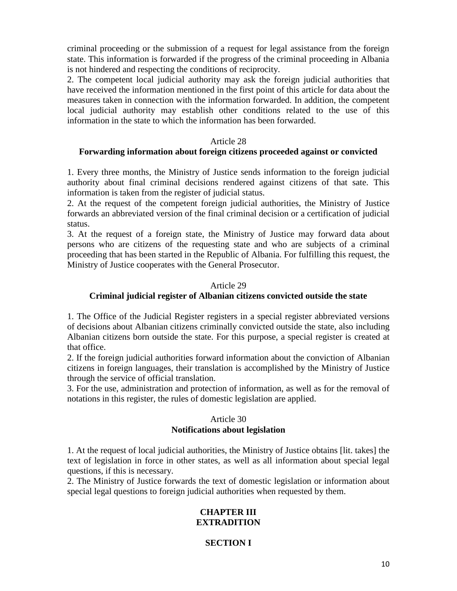criminal proceeding or the submission of a request for legal assistance from the foreign state. This information is forwarded if the progress of the criminal proceeding in Albania is not hindered and respecting the conditions of reciprocity.

2. The competent local judicial authority may ask the foreign judicial authorities that have received the information mentioned in the first point of this article for data about the measures taken in connection with the information forwarded. In addition, the competent local judicial authority may establish other conditions related to the use of this information in the state to which the information has been forwarded.

#### Article 28

### **Forwarding information about foreign citizens proceeded against or convicted**

1. Every three months, the Ministry of Justice sends information to the foreign judicial authority about final criminal decisions rendered against citizens of that sate. This information is taken from the register of judicial status.

2. At the request of the competent foreign judicial authorities, the Ministry of Justice forwards an abbreviated version of the final criminal decision or a certification of judicial status.

3. At the request of a foreign state, the Ministry of Justice may forward data about persons who are citizens of the requesting state and who are subjects of a criminal proceeding that has been started in the Republic of Albania. For fulfilling this request, the Ministry of Justice cooperates with the General Prosecutor.

#### Article 29

### **Criminal judicial register of Albanian citizens convicted outside the state**

1. The Office of the Judicial Register registers in a special register abbreviated versions of decisions about Albanian citizens criminally convicted outside the state, also including Albanian citizens born outside the state. For this purpose, a special register is created at that office.

2. If the foreign judicial authorities forward information about the conviction of Albanian citizens in foreign languages, their translation is accomplished by the Ministry of Justice through the service of official translation.

3. For the use, administration and protection of information, as well as for the removal of notations in this register, the rules of domestic legislation are applied.

## Article 30 **Notifications about legislation**

1. At the request of local judicial authorities, the Ministry of Justice obtains [lit. takes] the text of legislation in force in other states, as well as all information about special legal questions, if this is necessary.

2. The Ministry of Justice forwards the text of domestic legislation or information about special legal questions to foreign judicial authorities when requested by them.

### **CHAPTER III EXTRADITION**

# **SECTION I**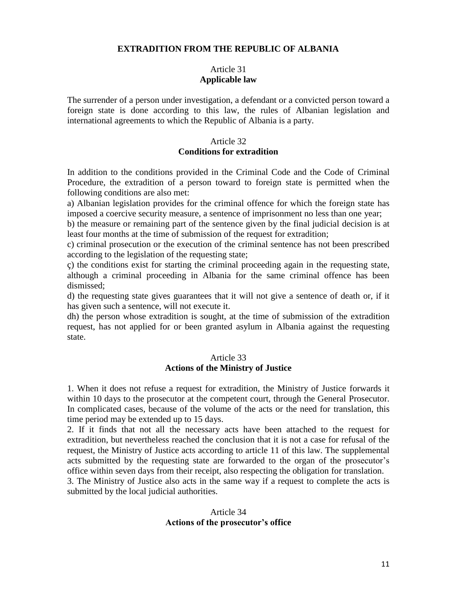### **EXTRADITION FROM THE REPUBLIC OF ALBANIA**

## Article 31 **Applicable law**

The surrender of a person under investigation, a defendant or a convicted person toward a foreign state is done according to this law, the rules of Albanian legislation and international agreements to which the Republic of Albania is a party.

#### Article 32

## **Conditions for extradition**

In addition to the conditions provided in the Criminal Code and the Code of Criminal Procedure, the extradition of a person toward to foreign state is permitted when the following conditions are also met:

a) Albanian legislation provides for the criminal offence for which the foreign state has imposed a coercive security measure, a sentence of imprisonment no less than one year;

b) the measure or remaining part of the sentence given by the final judicial decision is at least four months at the time of submission of the request for extradition;

c) criminal prosecution or the execution of the criminal sentence has not been prescribed according to the legislation of the requesting state;

ç) the conditions exist for starting the criminal proceeding again in the requesting state, although a criminal proceeding in Albania for the same criminal offence has been dismissed;

d) the requesting state gives guarantees that it will not give a sentence of death or, if it has given such a sentence, will not execute it.

dh) the person whose extradition is sought, at the time of submission of the extradition request, has not applied for or been granted asylum in Albania against the requesting state.

## Article 33 **Actions of the Ministry of Justice**

1. When it does not refuse a request for extradition, the Ministry of Justice forwards it within 10 days to the prosecutor at the competent court, through the General Prosecutor. In complicated cases, because of the volume of the acts or the need for translation, this time period may be extended up to 15 days.

2. If it finds that not all the necessary acts have been attached to the request for extradition, but nevertheless reached the conclusion that it is not a case for refusal of the request, the Ministry of Justice acts according to article 11 of this law. The supplemental acts submitted by the requesting state are forwarded to the organ of the prosecutor's office within seven days from their receipt, also respecting the obligation for translation.

3. The Ministry of Justice also acts in the same way if a request to complete the acts is submitted by the local judicial authorities.

#### Article 34 **Actions of the prosecutor's office**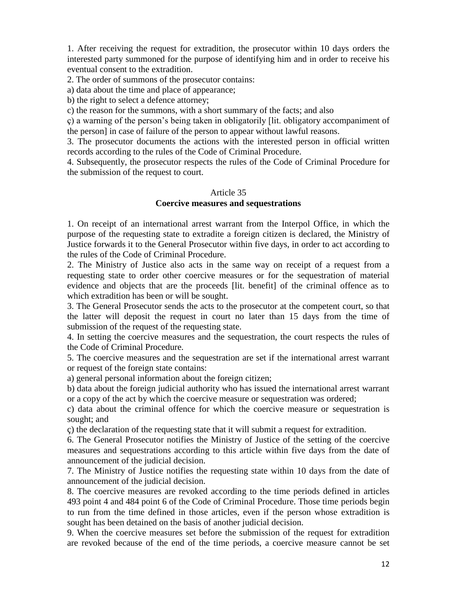1. After receiving the request for extradition, the prosecutor within 10 days orders the interested party summoned for the purpose of identifying him and in order to receive his eventual consent to the extradition.

2. The order of summons of the prosecutor contains:

a) data about the time and place of appearance;

b) the right to select a defence attorney;

c) the reason for the summons, with a short summary of the facts; and also

ç) a warning of the person's being taken in obligatorily [lit. obligatory accompaniment of the person] in case of failure of the person to appear without lawful reasons.

3. The prosecutor documents the actions with the interested person in official written records according to the rules of the Code of Criminal Procedure.

4. Subsequently, the prosecutor respects the rules of the Code of Criminal Procedure for the submission of the request to court.

#### Article 35

### **Coercive measures and sequestrations**

1. On receipt of an international arrest warrant from the Interpol Office, in which the purpose of the requesting state to extradite a foreign citizen is declared, the Ministry of Justice forwards it to the General Prosecutor within five days, in order to act according to the rules of the Code of Criminal Procedure.

2. The Ministry of Justice also acts in the same way on receipt of a request from a requesting state to order other coercive measures or for the sequestration of material evidence and objects that are the proceeds [lit. benefit] of the criminal offence as to which extradition has been or will be sought.

3. The General Prosecutor sends the acts to the prosecutor at the competent court, so that the latter will deposit the request in court no later than 15 days from the time of submission of the request of the requesting state.

4. In setting the coercive measures and the sequestration, the court respects the rules of the Code of Criminal Procedure.

5. The coercive measures and the sequestration are set if the international arrest warrant or request of the foreign state contains:

a) general personal information about the foreign citizen;

b) data about the foreign judicial authority who has issued the international arrest warrant or a copy of the act by which the coercive measure or sequestration was ordered;

c) data about the criminal offence for which the coercive measure or sequestration is sought; and

ç) the declaration of the requesting state that it will submit a request for extradition.

6. The General Prosecutor notifies the Ministry of Justice of the setting of the coercive measures and sequestrations according to this article within five days from the date of announcement of the judicial decision.

7. The Ministry of Justice notifies the requesting state within 10 days from the date of announcement of the judicial decision.

8. The coercive measures are revoked according to the time periods defined in articles 493 point 4 and 484 point 6 of the Code of Criminal Procedure. Those time periods begin to run from the time defined in those articles, even if the person whose extradition is sought has been detained on the basis of another judicial decision.

9. When the coercive measures set before the submission of the request for extradition are revoked because of the end of the time periods, a coercive measure cannot be set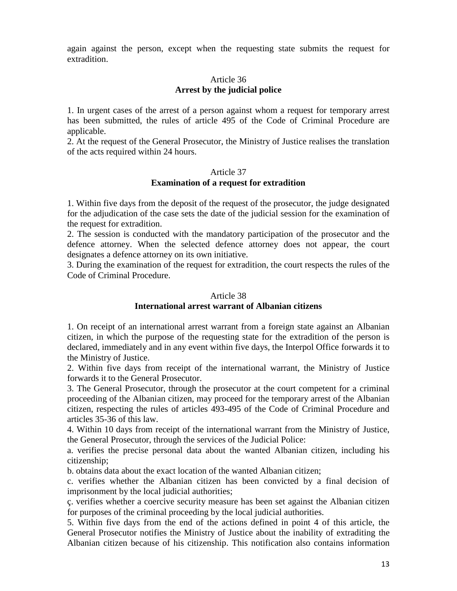again against the person, except when the requesting state submits the request for extradition.

### Article 36 **Arrest by the judicial police**

1. In urgent cases of the arrest of a person against whom a request for temporary arrest has been submitted, the rules of article 495 of the Code of Criminal Procedure are applicable.

2. At the request of the General Prosecutor, the Ministry of Justice realises the translation of the acts required within 24 hours.

### Article 37

# **Examination of a request for extradition**

1. Within five days from the deposit of the request of the prosecutor, the judge designated for the adjudication of the case sets the date of the judicial session for the examination of the request for extradition.

2. The session is conducted with the mandatory participation of the prosecutor and the defence attorney. When the selected defence attorney does not appear, the court designates a defence attorney on its own initiative.

3. During the examination of the request for extradition, the court respects the rules of the Code of Criminal Procedure.

#### Article 38

### **International arrest warrant of Albanian citizens**

1. On receipt of an international arrest warrant from a foreign state against an Albanian citizen, in which the purpose of the requesting state for the extradition of the person is declared, immediately and in any event within five days, the Interpol Office forwards it to the Ministry of Justice.

2. Within five days from receipt of the international warrant, the Ministry of Justice forwards it to the General Prosecutor.

3. The General Prosecutor, through the prosecutor at the court competent for a criminal proceeding of the Albanian citizen, may proceed for the temporary arrest of the Albanian citizen, respecting the rules of articles 493-495 of the Code of Criminal Procedure and articles 35-36 of this law.

4. Within 10 days from receipt of the international warrant from the Ministry of Justice, the General Prosecutor, through the services of the Judicial Police:

a. verifies the precise personal data about the wanted Albanian citizen, including his citizenship;

b. obtains data about the exact location of the wanted Albanian citizen;

c. verifies whether the Albanian citizen has been convicted by a final decision of imprisonment by the local judicial authorities;

ç. verifies whether a coercive security measure has been set against the Albanian citizen for purposes of the criminal proceeding by the local judicial authorities.

5. Within five days from the end of the actions defined in point 4 of this article, the General Prosecutor notifies the Ministry of Justice about the inability of extraditing the Albanian citizen because of his citizenship. This notification also contains information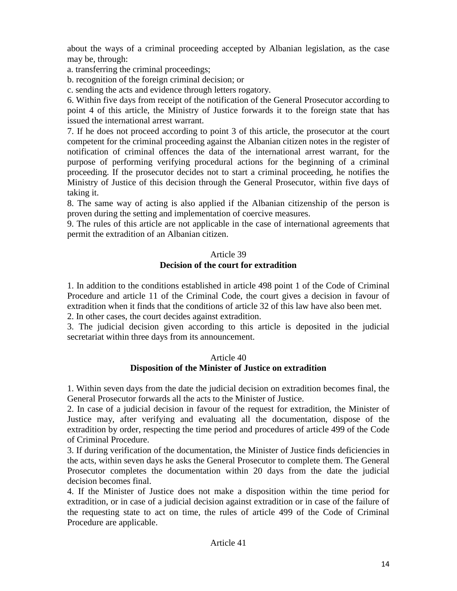about the ways of a criminal proceeding accepted by Albanian legislation, as the case may be, through:

a. transferring the criminal proceedings;

b. recognition of the foreign criminal decision; or

c. sending the acts and evidence through letters rogatory.

6. Within five days from receipt of the notification of the General Prosecutor according to point 4 of this article, the Ministry of Justice forwards it to the foreign state that has issued the international arrest warrant.

7. If he does not proceed according to point 3 of this article, the prosecutor at the court competent for the criminal proceeding against the Albanian citizen notes in the register of notification of criminal offences the data of the international arrest warrant, for the purpose of performing verifying procedural actions for the beginning of a criminal proceeding. If the prosecutor decides not to start a criminal proceeding, he notifies the Ministry of Justice of this decision through the General Prosecutor, within five days of taking it.

8. The same way of acting is also applied if the Albanian citizenship of the person is proven during the setting and implementation of coercive measures.

9. The rules of this article are not applicable in the case of international agreements that permit the extradition of an Albanian citizen.

# Article 39

## **Decision of the court for extradition**

1. In addition to the conditions established in article 498 point 1 of the Code of Criminal Procedure and article 11 of the Criminal Code, the court gives a decision in favour of extradition when it finds that the conditions of article 32 of this law have also been met. 2. In other cases, the court decides against extradition.

3. The judicial decision given according to this article is deposited in the judicial secretariat within three days from its announcement.

### Article 40

# **Disposition of the Minister of Justice on extradition**

1. Within seven days from the date the judicial decision on extradition becomes final, the General Prosecutor forwards all the acts to the Minister of Justice.

2. In case of a judicial decision in favour of the request for extradition, the Minister of Justice may, after verifying and evaluating all the documentation, dispose of the extradition by order, respecting the time period and procedures of article 499 of the Code of Criminal Procedure.

3. If during verification of the documentation, the Minister of Justice finds deficiencies in the acts, within seven days he asks the General Prosecutor to complete them. The General Prosecutor completes the documentation within 20 days from the date the judicial decision becomes final.

4. If the Minister of Justice does not make a disposition within the time period for extradition, or in case of a judicial decision against extradition or in case of the failure of the requesting state to act on time, the rules of article 499 of the Code of Criminal Procedure are applicable.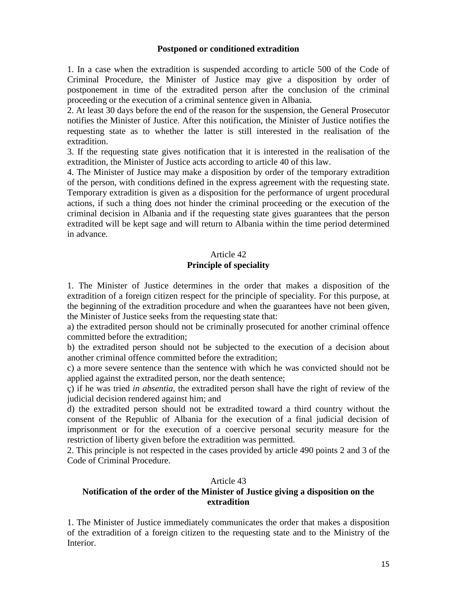### **Postponed or conditioned extradition**

1. In a case when the extradition is suspended according to article 500 of the Code of Criminal Procedure, the Minister of Justice may give a disposition by order of postponement in time of the extradited person after the conclusion of the criminal proceeding or the execution of a criminal sentence given in Albania.

2. At least 30 days before the end of the reason for the suspension, the General Prosecutor notifies the Minister of Justice. After this notification, the Minister of Justice notifies the requesting state as to whether the latter is still interested in the realisation of the extradition.

3. If the requesting state gives notification that it is interested in the realisation of the extradition, the Minister of Justice acts according to article 40 of this law.

4. The Minister of Justice may make a disposition by order of the temporary extradition of the person, with conditions defined in the express agreement with the requesting state. Temporary extradition is given as a disposition for the performance of urgent procedural actions, if such a thing does not hinder the criminal proceeding or the execution of the criminal decision in Albania and if the requesting state gives guarantees that the person extradited will be kept sage and will return to Albania within the time period determined in advance.

## Article 42

### **Principle of speciality**

1. The Minister of Justice determines in the order that makes a disposition of the extradition of a foreign citizen respect for the principle of speciality. For this purpose, at the beginning of the extradition procedure and when the guarantees have not been given, the Minister of Justice seeks from the requesting state that:

a) the extradited person should not be criminally prosecuted for another criminal offence committed before the extradition;

b) the extradited person should not be subjected to the execution of a decision about another criminal offence committed before the extradition;

c) a more severe sentence than the sentence with which he was convicted should not be applied against the extradited person, nor the death sentence;

ç) if he was tried *in absentia*, the extradited person shall have the right of review of the judicial decision rendered against him; and

d) the extradited person should not be extradited toward a third country without the consent of the Republic of Albania for the execution of a final judicial decision of imprisonment or for the execution of a coercive personal security measure for the restriction of liberty given before the extradition was permitted.

2. This principle is not respected in the cases provided by article 490 points 2 and 3 of the Code of Criminal Procedure.

#### Article 43

#### **Notification of the order of the Minister of Justice giving a disposition on the extradition**

1. The Minister of Justice immediately communicates the order that makes a disposition of the extradition of a foreign citizen to the requesting state and to the Ministry of the Interior.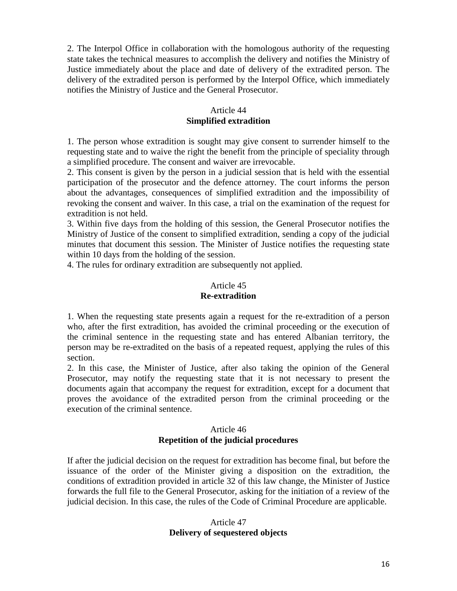2. The Interpol Office in collaboration with the homologous authority of the requesting state takes the technical measures to accomplish the delivery and notifies the Ministry of Justice immediately about the place and date of delivery of the extradited person. The delivery of the extradited person is performed by the Interpol Office, which immediately notifies the Ministry of Justice and the General Prosecutor.

## Article 44 **Simplified extradition**

1. The person whose extradition is sought may give consent to surrender himself to the requesting state and to waive the right the benefit from the principle of speciality through a simplified procedure. The consent and waiver are irrevocable.

2. This consent is given by the person in a judicial session that is held with the essential participation of the prosecutor and the defence attorney. The court informs the person about the advantages, consequences of simplified extradition and the impossibility of revoking the consent and waiver. In this case, a trial on the examination of the request for extradition is not held.

3. Within five days from the holding of this session, the General Prosecutor notifies the Ministry of Justice of the consent to simplified extradition, sending a copy of the judicial minutes that document this session. The Minister of Justice notifies the requesting state within 10 days from the holding of the session.

4. The rules for ordinary extradition are subsequently not applied.

# Article 45

## **Re-extradition**

1. When the requesting state presents again a request for the re-extradition of a person who, after the first extradition, has avoided the criminal proceeding or the execution of the criminal sentence in the requesting state and has entered Albanian territory, the person may be re-extradited on the basis of a repeated request, applying the rules of this section.

2. In this case, the Minister of Justice, after also taking the opinion of the General Prosecutor, may notify the requesting state that it is not necessary to present the documents again that accompany the request for extradition, except for a document that proves the avoidance of the extradited person from the criminal proceeding or the execution of the criminal sentence.

# Article 46 **Repetition of the judicial procedures**

If after the judicial decision on the request for extradition has become final, but before the issuance of the order of the Minister giving a disposition on the extradition, the conditions of extradition provided in article 32 of this law change, the Minister of Justice forwards the full file to the General Prosecutor, asking for the initiation of a review of the judicial decision. In this case, the rules of the Code of Criminal Procedure are applicable.

# Article 47 **Delivery of sequestered objects**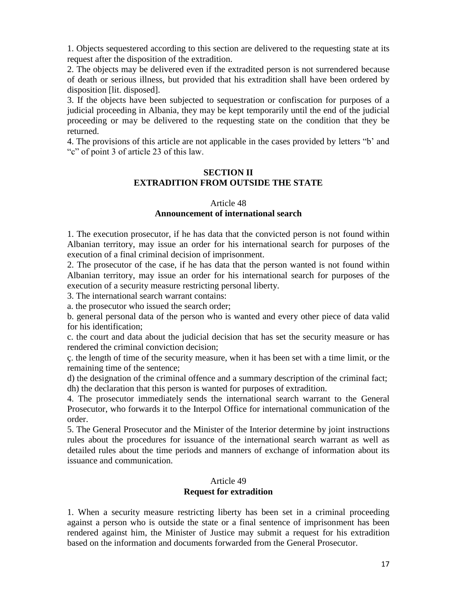1. Objects sequestered according to this section are delivered to the requesting state at its request after the disposition of the extradition.

2. The objects may be delivered even if the extradited person is not surrendered because of death or serious illness, but provided that his extradition shall have been ordered by disposition [lit. disposed].

3. If the objects have been subjected to sequestration or confiscation for purposes of a judicial proceeding in Albania, they may be kept temporarily until the end of the judicial proceeding or may be delivered to the requesting state on the condition that they be returned.

4. The provisions of this article are not applicable in the cases provided by letters "b' and "c" of point 3 of article 23 of this law.

## **SECTION II EXTRADITION FROM OUTSIDE THE STATE**

# Article 48

# **Announcement of international search**

1. The execution prosecutor, if he has data that the convicted person is not found within Albanian territory, may issue an order for his international search for purposes of the execution of a final criminal decision of imprisonment.

2. The prosecutor of the case, if he has data that the person wanted is not found within Albanian territory, may issue an order for his international search for purposes of the execution of a security measure restricting personal liberty.

3. The international search warrant contains:

a. the prosecutor who issued the search order;

b. general personal data of the person who is wanted and every other piece of data valid for his identification;

c. the court and data about the judicial decision that has set the security measure or has rendered the criminal conviction decision;

ç. the length of time of the security measure, when it has been set with a time limit, or the remaining time of the sentence;

d) the designation of the criminal offence and a summary description of the criminal fact; dh) the declaration that this person is wanted for purposes of extradition.

4. The prosecutor immediately sends the international search warrant to the General Prosecutor, who forwards it to the Interpol Office for international communication of the order.

5. The General Prosecutor and the Minister of the Interior determine by joint instructions rules about the procedures for issuance of the international search warrant as well as detailed rules about the time periods and manners of exchange of information about its issuance and communication.

# Article 49

### **Request for extradition**

1. When a security measure restricting liberty has been set in a criminal proceeding against a person who is outside the state or a final sentence of imprisonment has been rendered against him, the Minister of Justice may submit a request for his extradition based on the information and documents forwarded from the General Prosecutor.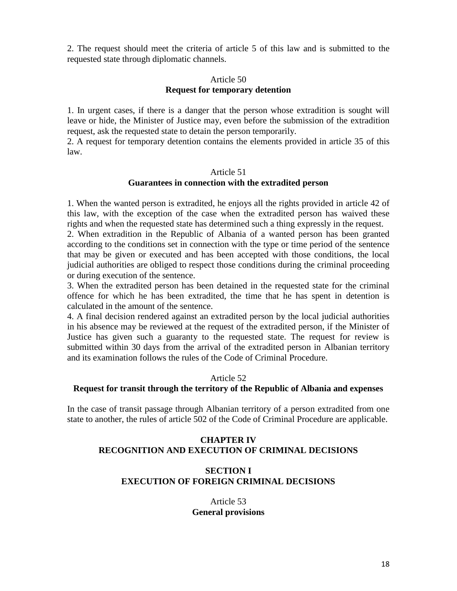2. The request should meet the criteria of article 5 of this law and is submitted to the requested state through diplomatic channels.

### Article 50 **Request for temporary detention**

1. In urgent cases, if there is a danger that the person whose extradition is sought will leave or hide, the Minister of Justice may, even before the submission of the extradition request, ask the requested state to detain the person temporarily.

2. A request for temporary detention contains the elements provided in article 35 of this law.

### Article 51

## **Guarantees in connection with the extradited person**

1. When the wanted person is extradited, he enjoys all the rights provided in article 42 of this law, with the exception of the case when the extradited person has waived these rights and when the requested state has determined such a thing expressly in the request.

2. When extradition in the Republic of Albania of a wanted person has been granted according to the conditions set in connection with the type or time period of the sentence that may be given or executed and has been accepted with those conditions, the local judicial authorities are obliged to respect those conditions during the criminal proceeding or during execution of the sentence.

3. When the extradited person has been detained in the requested state for the criminal offence for which he has been extradited, the time that he has spent in detention is calculated in the amount of the sentence.

4. A final decision rendered against an extradited person by the local judicial authorities in his absence may be reviewed at the request of the extradited person, if the Minister of Justice has given such a guaranty to the requested state. The request for review is submitted within 30 days from the arrival of the extradited person in Albanian territory and its examination follows the rules of the Code of Criminal Procedure.

### Article 52

### **Request for transit through the territory of the Republic of Albania and expenses**

In the case of transit passage through Albanian territory of a person extradited from one state to another, the rules of article 502 of the Code of Criminal Procedure are applicable.

# **CHAPTER IV RECOGNITION AND EXECUTION OF CRIMINAL DECISIONS**

## **SECTION I EXECUTION OF FOREIGN CRIMINAL DECISIONS**

Article 53 **General provisions**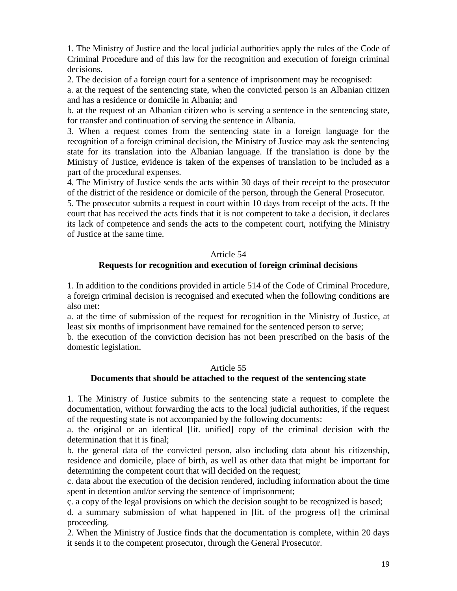1. The Ministry of Justice and the local judicial authorities apply the rules of the Code of Criminal Procedure and of this law for the recognition and execution of foreign criminal decisions.

2. The decision of a foreign court for a sentence of imprisonment may be recognised:

a. at the request of the sentencing state, when the convicted person is an Albanian citizen and has a residence or domicile in Albania; and

b. at the request of an Albanian citizen who is serving a sentence in the sentencing state, for transfer and continuation of serving the sentence in Albania.

3. When a request comes from the sentencing state in a foreign language for the recognition of a foreign criminal decision, the Ministry of Justice may ask the sentencing state for its translation into the Albanian language. If the translation is done by the Ministry of Justice, evidence is taken of the expenses of translation to be included as a part of the procedural expenses.

4. The Ministry of Justice sends the acts within 30 days of their receipt to the prosecutor of the district of the residence or domicile of the person, through the General Prosecutor.

5. The prosecutor submits a request in court within 10 days from receipt of the acts. If the court that has received the acts finds that it is not competent to take a decision, it declares its lack of competence and sends the acts to the competent court, notifying the Ministry of Justice at the same time.

## Article 54

## **Requests for recognition and execution of foreign criminal decisions**

1. In addition to the conditions provided in article 514 of the Code of Criminal Procedure, a foreign criminal decision is recognised and executed when the following conditions are also met:

a. at the time of submission of the request for recognition in the Ministry of Justice, at least six months of imprisonment have remained for the sentenced person to serve;

b. the execution of the conviction decision has not been prescribed on the basis of the domestic legislation.

### Article 55 **Documents that should be attached to the request of the sentencing state**

1. The Ministry of Justice submits to the sentencing state a request to complete the documentation, without forwarding the acts to the local judicial authorities, if the request of the requesting state is not accompanied by the following documents:

a. the original or an identical [lit. unified] copy of the criminal decision with the determination that it is final;

b. the general data of the convicted person, also including data about his citizenship, residence and domicile, place of birth, as well as other data that might be important for determining the competent court that will decided on the request;

c. data about the execution of the decision rendered, including information about the time spent in detention and/or serving the sentence of imprisonment;

ç. a copy of the legal provisions on which the decision sought to be recognized is based;

d. a summary submission of what happened in [lit. of the progress of] the criminal proceeding.

2. When the Ministry of Justice finds that the documentation is complete, within 20 days it sends it to the competent prosecutor, through the General Prosecutor.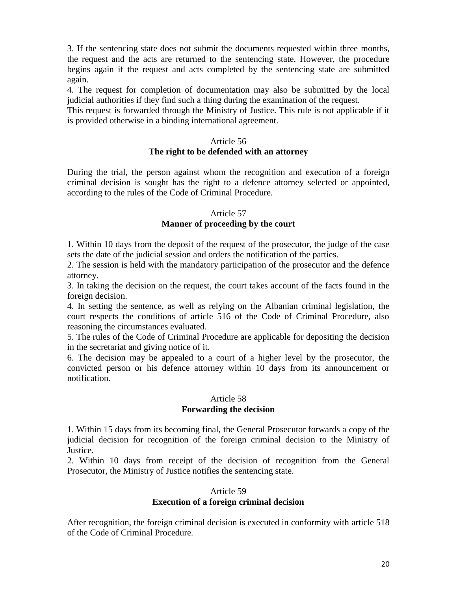3. If the sentencing state does not submit the documents requested within three months, the request and the acts are returned to the sentencing state. However, the procedure begins again if the request and acts completed by the sentencing state are submitted again.

4. The request for completion of documentation may also be submitted by the local judicial authorities if they find such a thing during the examination of the request.

This request is forwarded through the Ministry of Justice. This rule is not applicable if it is provided otherwise in a binding international agreement.

#### Article 56

#### **The right to be defended with an attorney**

During the trial, the person against whom the recognition and execution of a foreign criminal decision is sought has the right to a defence attorney selected or appointed, according to the rules of the Code of Criminal Procedure.

#### Article 57

### **Manner of proceeding by the court**

1. Within 10 days from the deposit of the request of the prosecutor, the judge of the case sets the date of the judicial session and orders the notification of the parties.

2. The session is held with the mandatory participation of the prosecutor and the defence attorney.

3. In taking the decision on the request, the court takes account of the facts found in the foreign decision.

4. In setting the sentence, as well as relying on the Albanian criminal legislation, the court respects the conditions of article 516 of the Code of Criminal Procedure, also reasoning the circumstances evaluated.

5. The rules of the Code of Criminal Procedure are applicable for depositing the decision in the secretariat and giving notice of it.

6. The decision may be appealed to a court of a higher level by the prosecutor, the convicted person or his defence attorney within 10 days from its announcement or notification.

### Article 58 **Forwarding the decision**

1. Within 15 days from its becoming final, the General Prosecutor forwards a copy of the judicial decision for recognition of the foreign criminal decision to the Ministry of Justice.

2. Within 10 days from receipt of the decision of recognition from the General Prosecutor, the Ministry of Justice notifies the sentencing state.

#### Article 59

#### **Execution of a foreign criminal decision**

After recognition, the foreign criminal decision is executed in conformity with article 518 of the Code of Criminal Procedure.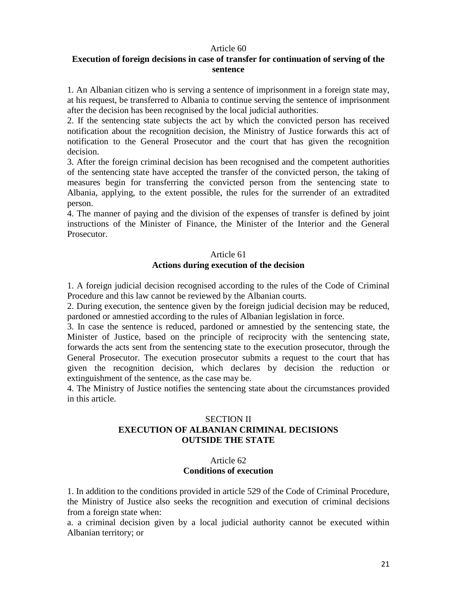#### Article 60

#### **Execution of foreign decisions in case of transfer for continuation of serving of the sentence**

1. An Albanian citizen who is serving a sentence of imprisonment in a foreign state may, at his request, be transferred to Albania to continue serving the sentence of imprisonment after the decision has been recognised by the local judicial authorities.

2. If the sentencing state subjects the act by which the convicted person has received notification about the recognition decision, the Ministry of Justice forwards this act of notification to the General Prosecutor and the court that has given the recognition decision.

3. After the foreign criminal decision has been recognised and the competent authorities of the sentencing state have accepted the transfer of the convicted person, the taking of measures begin for transferring the convicted person from the sentencing state to Albania, applying, to the extent possible, the rules for the surrender of an extradited person.

4. The manner of paying and the division of the expenses of transfer is defined by joint instructions of the Minister of Finance, the Minister of the Interior and the General Prosecutor.

#### Article 61

#### **Actions during execution of the decision**

1. A foreign judicial decision recognised according to the rules of the Code of Criminal Procedure and this law cannot be reviewed by the Albanian courts.

2. During execution, the sentence given by the foreign judicial decision may be reduced, pardoned or amnestied according to the rules of Albanian legislation in force.

3. In case the sentence is reduced, pardoned or amnestied by the sentencing state, the Minister of Justice, based on the principle of reciprocity with the sentencing state, forwards the acts sent from the sentencing state to the execution prosecutor, through the General Prosecutor. The execution prosecutor submits a request to the court that has given the recognition decision, which declares by decision the reduction or extinguishment of the sentence, as the case may be.

4. The Ministry of Justice notifies the sentencing state about the circumstances provided in this article.

# SECTION II **EXECUTION OF ALBANIAN CRIMINAL DECISIONS OUTSIDE THE STATE**

## Article 62 **Conditions of execution**

1. In addition to the conditions provided in article 529 of the Code of Criminal Procedure, the Ministry of Justice also seeks the recognition and execution of criminal decisions from a foreign state when:

a. a criminal decision given by a local judicial authority cannot be executed within Albanian territory; or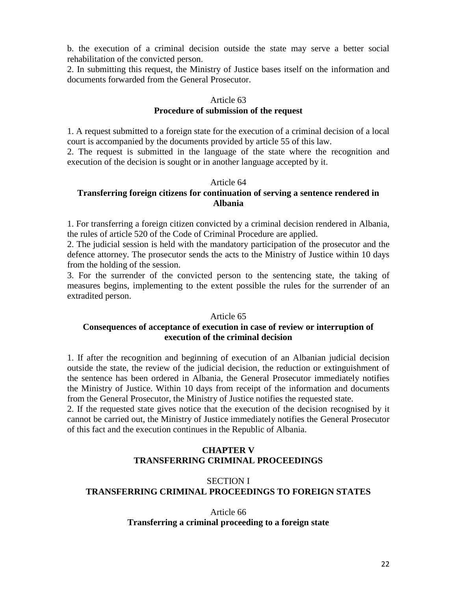b. the execution of a criminal decision outside the state may serve a better social rehabilitation of the convicted person.

2. In submitting this request, the Ministry of Justice bases itself on the information and documents forwarded from the General Prosecutor.

#### Article 63

#### **Procedure of submission of the request**

1. A request submitted to a foreign state for the execution of a criminal decision of a local court is accompanied by the documents provided by article 55 of this law.

2. The request is submitted in the language of the state where the recognition and execution of the decision is sought or in another language accepted by it.

## Article 64 **Transferring foreign citizens for continuation of serving a sentence rendered in Albania**

1. For transferring a foreign citizen convicted by a criminal decision rendered in Albania, the rules of article 520 of the Code of Criminal Procedure are applied.

2. The judicial session is held with the mandatory participation of the prosecutor and the defence attorney. The prosecutor sends the acts to the Ministry of Justice within 10 days from the holding of the session.

3. For the surrender of the convicted person to the sentencing state, the taking of measures begins, implementing to the extent possible the rules for the surrender of an extradited person.

#### Article 65

# **Consequences of acceptance of execution in case of review or interruption of execution of the criminal decision**

1. If after the recognition and beginning of execution of an Albanian judicial decision outside the state, the review of the judicial decision, the reduction or extinguishment of the sentence has been ordered in Albania, the General Prosecutor immediately notifies the Ministry of Justice. Within 10 days from receipt of the information and documents from the General Prosecutor, the Ministry of Justice notifies the requested state.

2. If the requested state gives notice that the execution of the decision recognised by it cannot be carried out, the Ministry of Justice immediately notifies the General Prosecutor of this fact and the execution continues in the Republic of Albania.

# **CHAPTER V TRANSFERRING CRIMINAL PROCEEDINGS**

# SECTION I **TRANSFERRING CRIMINAL PROCEEDINGS TO FOREIGN STATES**

### Article 66 **Transferring a criminal proceeding to a foreign state**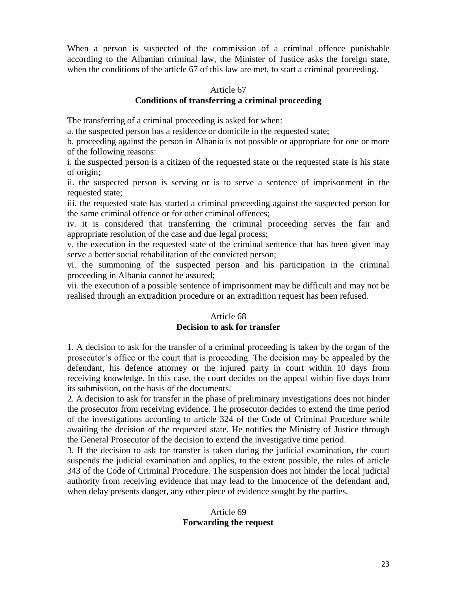When a person is suspected of the commission of a criminal offence punishable according to the Albanian criminal law, the Minister of Justice asks the foreign state, when the conditions of the article 67 of this law are met, to start a criminal proceeding.

#### Article 67

### **Conditions of transferring a criminal proceeding**

The transferring of a criminal proceeding is asked for when:

a. the suspected person has a residence or domicile in the requested state;

b. proceeding against the person in Albania is not possible or appropriate for one or more of the following reasons:

i. the suspected person is a citizen of the requested state or the requested state is his state of origin;

ii. the suspected person is serving or is to serve a sentence of imprisonment in the requested state;

iii. the requested state has started a criminal proceeding against the suspected person for the same criminal offence or for other criminal offences;

iv. it is considered that transferring the criminal proceeding serves the fair and appropriate resolution of the case and due legal process;

v. the execution in the requested state of the criminal sentence that has been given may serve a better social rehabilitation of the convicted person;

vi. the summoning of the suspected person and his participation in the criminal proceeding in Albania cannot be assured;

vii. the execution of a possible sentence of imprisonment may be difficult and may not be realised through an extradition procedure or an extradition request has been refused.

## Article 68 **Decision to ask for transfer**

1. A decision to ask for the transfer of a criminal proceeding is taken by the organ of the prosecutor's office or the court that is proceeding. The decision may be appealed by the defendant, his defence attorney or the injured party in court within 10 days from receiving knowledge. In this case, the court decides on the appeal within five days from its submission, on the basis of the documents.

2. A decision to ask for transfer in the phase of preliminary investigations does not hinder the prosecutor from receiving evidence. The prosecutor decides to extend the time period of the investigations according to article 324 of the Code of Criminal Procedure while awaiting the decision of the requested state. He notifies the Ministry of Justice through the General Prosecutor of the decision to extend the investigative time period.

3. If the decision to ask for transfer is taken during the judicial examination, the court suspends the judicial examination and applies, to the extent possible, the rules of article 343 of the Code of Criminal Procedure. The suspension does not hinder the local judicial authority from receiving evidence that may lead to the innocence of the defendant and, when delay presents danger, any other piece of evidence sought by the parties.

### Article 69 **Forwarding the request**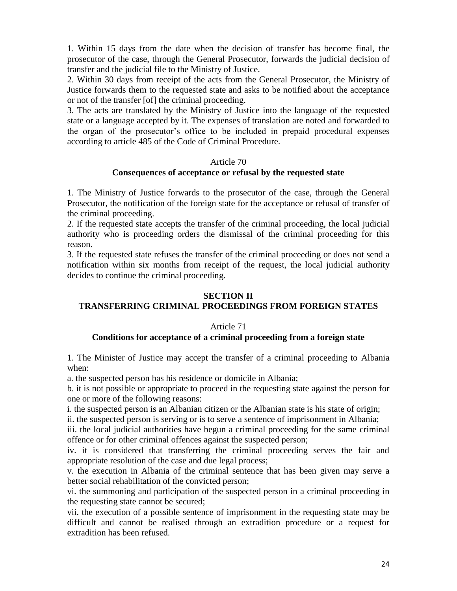1. Within 15 days from the date when the decision of transfer has become final, the prosecutor of the case, through the General Prosecutor, forwards the judicial decision of transfer and the judicial file to the Ministry of Justice.

2. Within 30 days from receipt of the acts from the General Prosecutor, the Ministry of Justice forwards them to the requested state and asks to be notified about the acceptance or not of the transfer [of] the criminal proceeding.

3. The acts are translated by the Ministry of Justice into the language of the requested state or a language accepted by it. The expenses of translation are noted and forwarded to the organ of the prosecutor's office to be included in prepaid procedural expenses according to article 485 of the Code of Criminal Procedure.

### Article 70

## **Consequences of acceptance or refusal by the requested state**

1. The Ministry of Justice forwards to the prosecutor of the case, through the General Prosecutor, the notification of the foreign state for the acceptance or refusal of transfer of the criminal proceeding.

2. If the requested state accepts the transfer of the criminal proceeding, the local judicial authority who is proceeding orders the dismissal of the criminal proceeding for this reason.

3. If the requested state refuses the transfer of the criminal proceeding or does not send a notification within six months from receipt of the request, the local judicial authority decides to continue the criminal proceeding.

### **SECTION II**

# **TRANSFERRING CRIMINAL PROCEEDINGS FROM FOREIGN STATES**

### Article 71

### **Conditions for acceptance of a criminal proceeding from a foreign state**

1. The Minister of Justice may accept the transfer of a criminal proceeding to Albania when:

a. the suspected person has his residence or domicile in Albania;

b. it is not possible or appropriate to proceed in the requesting state against the person for one or more of the following reasons:

i. the suspected person is an Albanian citizen or the Albanian state is his state of origin;

ii. the suspected person is serving or is to serve a sentence of imprisonment in Albania;

iii. the local judicial authorities have begun a criminal proceeding for the same criminal offence or for other criminal offences against the suspected person;

iv. it is considered that transferring the criminal proceeding serves the fair and appropriate resolution of the case and due legal process;

v. the execution in Albania of the criminal sentence that has been given may serve a better social rehabilitation of the convicted person;

vi. the summoning and participation of the suspected person in a criminal proceeding in the requesting state cannot be secured;

vii. the execution of a possible sentence of imprisonment in the requesting state may be difficult and cannot be realised through an extradition procedure or a request for extradition has been refused.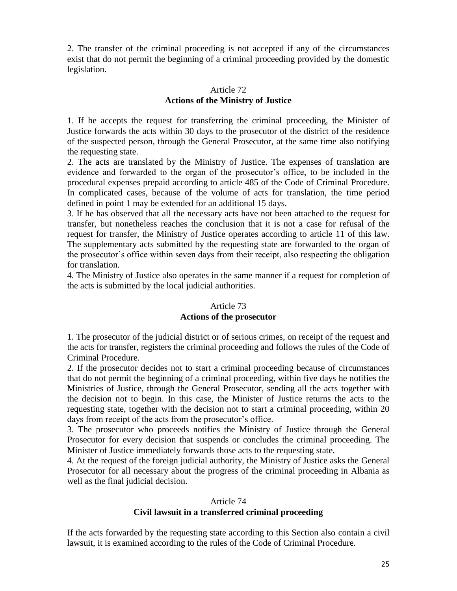2. The transfer of the criminal proceeding is not accepted if any of the circumstances exist that do not permit the beginning of a criminal proceeding provided by the domestic legislation.

# Article 72 **Actions of the Ministry of Justice**

1. If he accepts the request for transferring the criminal proceeding, the Minister of Justice forwards the acts within 30 days to the prosecutor of the district of the residence of the suspected person, through the General Prosecutor, at the same time also notifying the requesting state.

2. The acts are translated by the Ministry of Justice. The expenses of translation are evidence and forwarded to the organ of the prosecutor's office, to be included in the procedural expenses prepaid according to article 485 of the Code of Criminal Procedure. In complicated cases, because of the volume of acts for translation, the time period defined in point 1 may be extended for an additional 15 days.

3. If he has observed that all the necessary acts have not been attached to the request for transfer, but nonetheless reaches the conclusion that it is not a case for refusal of the request for transfer, the Ministry of Justice operates according to article 11 of this law. The supplementary acts submitted by the requesting state are forwarded to the organ of the prosecutor's office within seven days from their receipt, also respecting the obligation for translation.

4. The Ministry of Justice also operates in the same manner if a request for completion of the acts is submitted by the local judicial authorities.

# Article 73 **Actions of the prosecutor**

1. The prosecutor of the judicial district or of serious crimes, on receipt of the request and the acts for transfer, registers the criminal proceeding and follows the rules of the Code of Criminal Procedure.

2. If the prosecutor decides not to start a criminal proceeding because of circumstances that do not permit the beginning of a criminal proceeding, within five days he notifies the Ministries of Justice, through the General Prosecutor, sending all the acts together with the decision not to begin. In this case, the Minister of Justice returns the acts to the requesting state, together with the decision not to start a criminal proceeding, within 20 days from receipt of the acts from the prosecutor's office.

3. The prosecutor who proceeds notifies the Ministry of Justice through the General Prosecutor for every decision that suspends or concludes the criminal proceeding. The Minister of Justice immediately forwards those acts to the requesting state.

4. At the request of the foreign judicial authority, the Ministry of Justice asks the General Prosecutor for all necessary about the progress of the criminal proceeding in Albania as well as the final judicial decision.

## Article 74 **Civil lawsuit in a transferred criminal proceeding**

If the acts forwarded by the requesting state according to this Section also contain a civil lawsuit, it is examined according to the rules of the Code of Criminal Procedure.